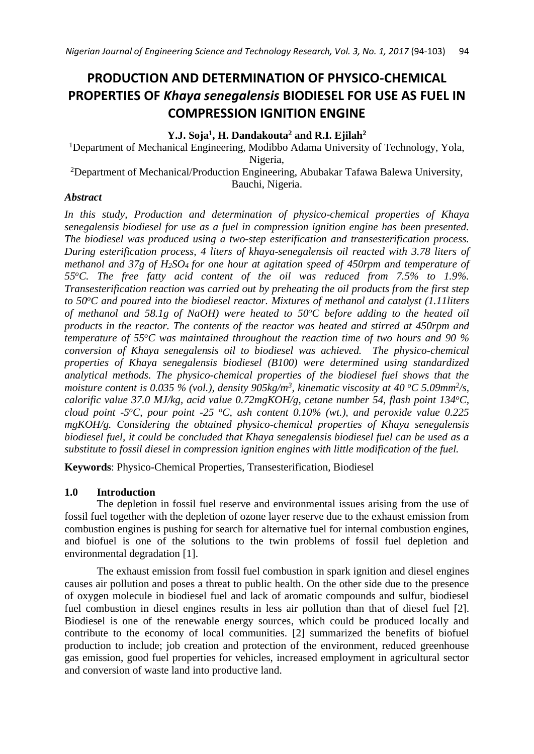# **PRODUCTION AND DETERMINATION OF PHYSICO-CHEMICAL PROPERTIES OF** *Khaya senegalensis* **BIODIESEL FOR USE AS FUEL IN COMPRESSION IGNITION ENGINE**

# **Y.J. Soja<sup>1</sup> , H. Dandakouta<sup>2</sup> and R.I. Ejilah<sup>2</sup>**

<sup>1</sup>Department of Mechanical Engineering, Modibbo Adama University of Technology, Yola, Nigeria,

<sup>2</sup>Department of Mechanical/Production Engineering, Abubakar Tafawa Balewa University, Bauchi, Nigeria.

# *Abstract*

*In this study, Production and determination of physico-chemical properties of Khaya senegalensis biodiesel for use as a fuel in compression ignition engine has been presented. The biodiesel was produced using a two-step esterification and transesterification process. During esterification process, 4 liters of khaya-senegalensis oil reacted with 3.78 liters of methanol and 37g of H2SO4 for one hour at agitation speed of 450rpm and temperature of 55<sup>o</sup>C. The free fatty acid content of the oil was reduced from 7.5% to 1.9%. Transesterification reaction was carried out by preheating the oil products from the first step to 50<sup>o</sup>C and poured into the biodiesel reactor. Mixtures of methanol and catalyst (1.11liters of methanol and 58.1g of NaOH) were heated to 50<sup>o</sup>C before adding to the heated oil products in the reactor. The contents of the reactor was heated and stirred at 450rpm and temperature of 55<sup>o</sup>C was maintained throughout the reaction time of two hours and 90 % conversion of Khaya senegalensis oil to biodiesel was achieved. The physico-chemical properties of Khaya senegalensis biodiesel (B100) were determined using standardized analytical methods. The physico-chemical properties of the biodiesel fuel shows that the moisture content is 0.035 % (vol.), density 905kg/m<sup>3</sup>, kinematic viscosity at 40 °C 5.09mm<sup>2</sup>/s, calorific value 37.0 MJ/kg, acid value 0.72mgKOH/g, cetane number 54, flash point 134<sup>o</sup>C, cloud point -5<sup>o</sup>C, pour point -25 <sup>o</sup>C, ash content 0.10% (wt.), and peroxide value 0.225 mgKOH/g. Considering the obtained physico-chemical properties of Khaya senegalensis biodiesel fuel, it could be concluded that Khaya senegalensis biodiesel fuel can be used as a substitute to fossil diesel in compression ignition engines with little modification of the fuel.* 

**Keywords**: Physico-Chemical Properties, Transesterification, Biodiesel

# **1.0 Introduction**

The depletion in fossil fuel reserve and environmental issues arising from the use of fossil fuel together with the depletion of ozone layer reserve due to the exhaust emission from combustion engines is pushing for search for alternative fuel for internal combustion engines, and biofuel is one of the solutions to the twin problems of fossil fuel depletion and environmental degradation [1].

The exhaust emission from fossil fuel combustion in spark ignition and diesel engines causes air pollution and poses a threat to public health. On the other side due to the presence of oxygen molecule in biodiesel fuel and lack of aromatic compounds and sulfur, biodiesel fuel combustion in diesel engines results in less air pollution than that of diesel fuel [2]. Biodiesel is one of the renewable energy sources, which could be produced locally and contribute to the economy of local communities. [2] summarized the benefits of biofuel production to include; job creation and protection of the environment, reduced greenhouse gas emission, good fuel properties for vehicles, increased employment in agricultural sector and conversion of waste land into productive land.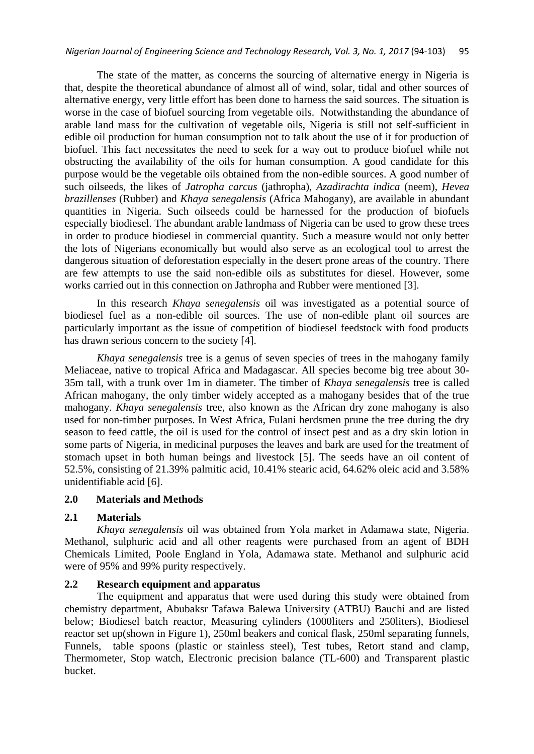The state of the matter, as concerns the sourcing of alternative energy in Nigeria is that, despite the theoretical abundance of almost all of wind, solar, tidal and other sources of alternative energy, very little effort has been done to harness the said sources. The situation is worse in the case of biofuel sourcing from vegetable oils. Notwithstanding the abundance of arable land mass for the cultivation of vegetable oils, Nigeria is still not self-sufficient in edible oil production for human consumption not to talk about the use of it for production of biofuel. This fact necessitates the need to seek for a way out to produce biofuel while not obstructing the availability of the oils for human consumption. A good candidate for this purpose would be the vegetable oils obtained from the non-edible sources. A good number of such oilseeds, the likes of *Jatropha carcus* (jathropha), *Azadirachta indica* (neem), *Hevea brazillenses* (Rubber) and *Khaya senegalensis* (Africa Mahogany), are available in abundant quantities in Nigeria. Such oilseeds could be harnessed for the production of biofuels especially biodiesel. The abundant arable landmass of Nigeria can be used to grow these trees in order to produce biodiesel in commercial quantity. Such a measure would not only better the lots of Nigerians economically but would also serve as an ecological tool to arrest the dangerous situation of deforestation especially in the desert prone areas of the country. There are few attempts to use the said non-edible oils as substitutes for diesel. However, some works carried out in this connection on Jathropha and Rubber were mentioned [3].

In this research *Khaya senegalensis* oil was investigated as a potential source of biodiesel fuel as a non-edible oil sources. The use of non-edible plant oil sources are particularly important as the issue of competition of biodiesel feedstock with food products has drawn serious concern to the society [4].

*Khaya senegalensis* tree is a genus of seven species of [trees](http://en.wikipedia.org/wiki/Tree) in the mahogany family [Meliaceae,](http://en.wikipedia.org/wiki/Meliaceae) native to tropical [Africa](http://en.wikipedia.org/wiki/Africa) and [Madagascar.](http://en.wikipedia.org/wiki/Madagascar) All species become big tree about 30- 35m tall, with a trunk over 1m in diameter. The [timber](http://en.wikipedia.org/wiki/Timber) of *Khaya senegalensis* tree is called African mahogany, the only timber widely accepted as a [mahogany](http://en.wikipedia.org/wiki/Mahogany) besides that of the true mahogany. *Khaya senegalensis* tree, also known as the African dry zone mahogany is also used for non-timber purposes. In West Africa, Fulani herdsmen prune the tree during the dry season to feed cattle, the oil is used for the control of insect pest and as a dry skin lotion in some parts of Nigeria, in medicinal purposes the leaves and bark are used for the treatment of stomach upset in both human beings and livestock [5]. The seeds have an oil content of 52.5%, consisting of 21.39% [palmitic acid,](http://en.wikipedia.org/wiki/Palmitic_acid) 10.41% [stearic acid,](http://en.wikipedia.org/wiki/Stearic_acid) 64.62% oleic acid and 3.58% unidentifiable acid [6].

### **2.0 Materials and Methods**

# **2.1 Materials**

*Khaya senegalensis* oil was obtained from Yola market in Adamawa state, Nigeria. Methanol, sulphuric acid and all other reagents were purchased from an agent of BDH Chemicals Limited, Poole England in Yola, Adamawa state. Methanol and sulphuric acid were of 95% and 99% purity respectively.

### **2.2 Research equipment and apparatus**

The equipment and apparatus that were used during this study were obtained from chemistry department, Abubaksr Tafawa Balewa University (ATBU) Bauchi and are listed below; Biodiesel batch reactor, Measuring cylinders (1000liters and 250liters), Biodiesel reactor set up(shown in Figure 1), 250ml beakers and conical flask, 250ml separating funnels, Funnels, table spoons (plastic or stainless steel), Test tubes, Retort stand and clamp, Thermometer, Stop watch, Electronic precision balance (TL-600) and Transparent plastic bucket.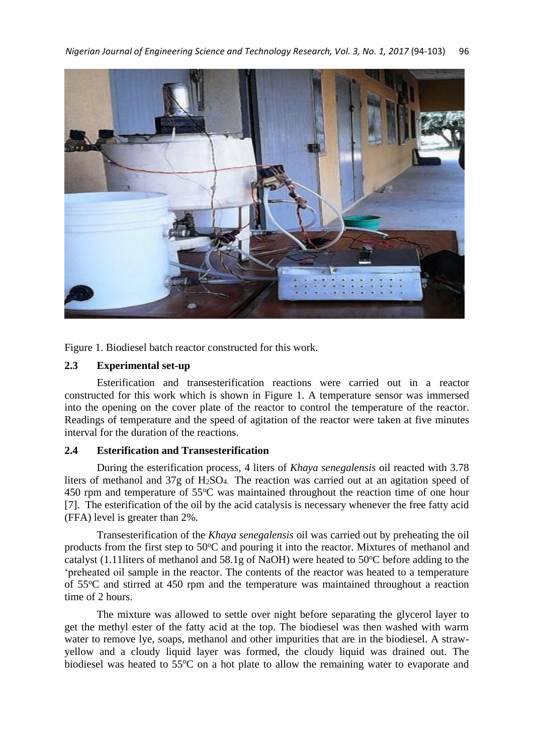

Figure 1. Biodiesel batch reactor constructed for this work.

### **2.3 Experimental set-up**

Esterification and transesterification reactions were carried out in a reactor constructed for this work which is shown in Figure 1. A temperature sensor was immersed into the opening on the cover plate of the reactor to control the temperature of the reactor. Readings of temperature and the speed of agitation of the reactor were taken at five minutes interval for the duration of the reactions.

#### **2.4 Esterification and Transesterification**

During the esterification process, 4 liters of *Khaya senegalensis* oil reacted with 3.78 liters of methanol and 37g of H2SO4. The reaction was carried out at an agitation speed of  $450$  rpm and temperature of  $55^{\circ}$ C was maintained throughout the reaction time of one hour [7]. The esterification of the oil by the acid catalysis is necessary whenever the free fatty acid (FFA) level is greater than 2%.

Transesterification of the *Khaya senegalensis* oil was carried out by preheating the oil products from the first step to  $50^{\circ}$ C and pouring it into the reactor. Mixtures of methanol and catalyst (1.11 liters of methanol and 58.1g of NaOH) were heated to  $50^{\circ}$ C before adding to the 'preheated oil sample in the reactor. The contents of the reactor was heated to a temperature of 55<sup>o</sup>C and stirred at 450 rpm and the temperature was maintained throughout a reaction time of 2 hours.

The mixture was allowed to settle over night before separating the glycerol layer to get the methyl ester of the fatty acid at the top. The biodiesel was then washed with warm water to remove lye, soaps, methanol and other impurities that are in the biodiesel. A strawyellow and a cloudy liquid layer was formed, the cloudy liquid was drained out. The biodiesel was heated to 55<sup>o</sup>C on a hot plate to allow the remaining water to evaporate and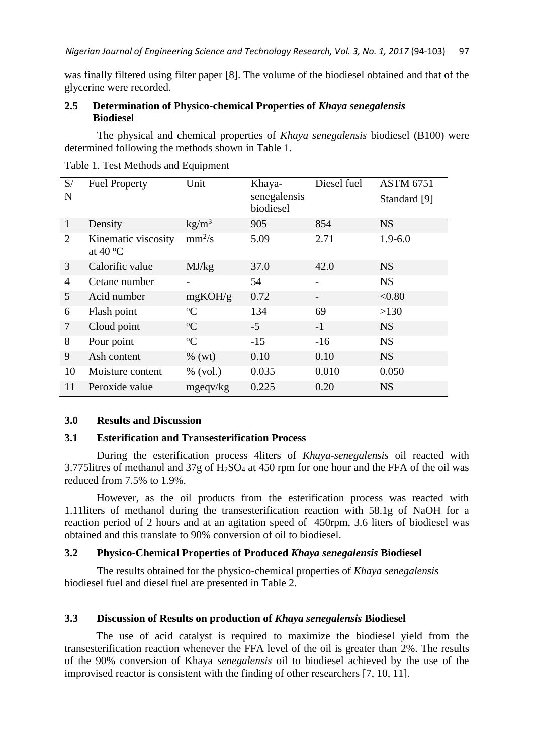was finally filtered using filter paper [8]. The volume of the biodiesel obtained and that of the glycerine were recorded.

### **2.5 Determination of Physico-chemical Properties of** *Khaya senegalensis* **Biodiesel**

The physical and chemical properties of *Khaya senegalensis* biodiesel (B100) were determined following the methods shown in Table 1.

| S/<br>N      | <b>Fuel Property</b>                     | Unit              | Khaya-<br>senegalensis<br>biodiesel | Diesel fuel | <b>ASTM 6751</b><br>Standard [9] |
|--------------|------------------------------------------|-------------------|-------------------------------------|-------------|----------------------------------|
| $\mathbf{1}$ | Density                                  | kg/m <sup>3</sup> | 905                                 | 854         | <b>NS</b>                        |
| 2            | Kinematic viscosity<br>at 40 $\rm ^{o}C$ | $mm^2/s$          | 5.09                                | 2.71        | $1.9 - 6.0$                      |
| 3            | Calorific value                          | MJ/kg             | 37.0                                | 42.0        | <b>NS</b>                        |
| 4            | Cetane number                            |                   | 54                                  |             | <b>NS</b>                        |
| 5            | Acid number                              | mgKOH/g           | 0.72                                |             | < 0.80                           |
| 6            | Flash point                              | ${}^{\circ}C$     | 134                                 | 69          | >130                             |
| $\tau$       | Cloud point                              | ${}^{\circ}C$     | $-5$                                | $-1$        | <b>NS</b>                        |
| 8            | Pour point                               | $\rm ^{o}C$       | $-15$                               | $-16$       | <b>NS</b>                        |
| 9            | Ash content                              | $\%$ (wt)         | 0.10                                | 0.10        | <b>NS</b>                        |
| 10           | Moisture content                         | $%$ (vol.)        | 0.035                               | 0.010       | 0.050                            |
| 11           | Peroxide value                           | $mg$ eqv/kg       | 0.225                               | 0.20        | <b>NS</b>                        |

Table 1. Test Methods and Equipment

#### **3.0 Results and Discussion**

### **3.1 Esterification and Transesterification Process**

During the esterification process 4liters of *Khaya-senegalensis* oil reacted with 3.775litres of methanol and 37g of H2SO<sup>4</sup> at 450 rpm for one hour and the FFA of the oil was reduced from 7.5% to 1.9%.

However, as the oil products from the esterification process was reacted with 1.11liters of methanol during the transesterification reaction with 58.1g of NaOH for a reaction period of 2 hours and at an agitation speed of 450rpm, 3.6 liters of biodiesel was obtained and this translate to 90% conversion of oil to biodiesel.

# **3.2 Physico-Chemical Properties of Produced** *Khaya senegalensis* **Biodiesel**

The results obtained for the physico-chemical properties of *Khaya senegalensis* biodiesel fuel and diesel fuel are presented in Table 2.

#### **3.3 Discussion of Results on production of** *Khaya senegalensis* **Biodiesel**

The use of acid catalyst is required to maximize the biodiesel yield from the transesterification reaction whenever the FFA level of the oil is greater than 2%. The results of the 90% conversion of Khaya *senegalensis* oil to biodiesel achieved by the use of the improvised reactor is consistent with the finding of other researchers [7, 10, 11].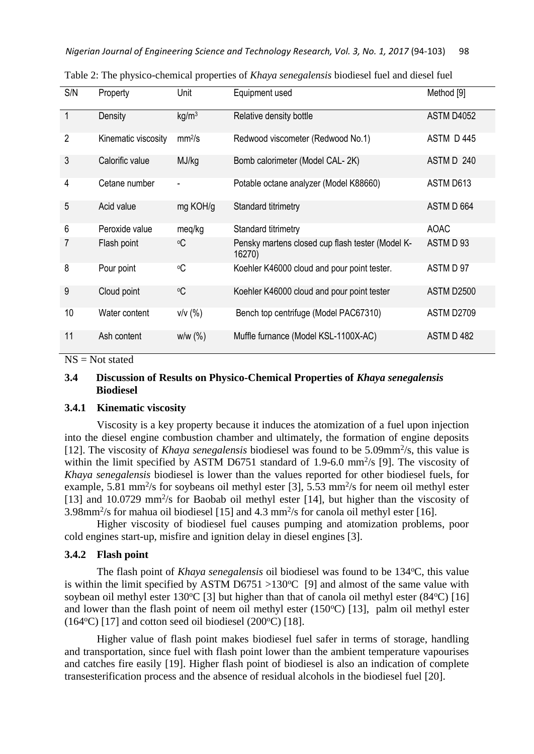| S/N            | Property            | Unit                         | Equipment used                                             | Method [9]  |
|----------------|---------------------|------------------------------|------------------------------------------------------------|-------------|
| $\mathbf{1}$   | Density             | kg/m <sup>3</sup>            | Relative density bottle                                    | ASTM D4052  |
| $\overline{2}$ | Kinematic viscosity | mm <sup>2</sup> /s           | Redwood viscometer (Redwood No.1)                          | ASTM D445   |
| 3              | Calorific value     | MJ/kg                        | Bomb calorimeter (Model CAL-2K)                            | ASTM D 240  |
| 4              | Cetane number       | $\qquad \qquad \blacksquare$ | Potable octane analyzer (Model K88660)                     | ASTM D613   |
| 5              | Acid value          | mg KOH/g                     | Standard titrimetry                                        | ASTM D 664  |
| 6              | Peroxide value      | meg/kg                       | Standard titrimetry                                        | <b>AOAC</b> |
| 7              | Flash point         | ٥C                           | Pensky martens closed cup flash tester (Model K-<br>16270) | ASTM D 93   |
| 8              | Pour point          | $\circ$ C                    | Koehler K46000 cloud and pour point tester.                | ASTM D 97   |
| 9              | Cloud point         | $\circ$ C                    | Koehler K46000 cloud and pour point tester                 | ASTM D2500  |
| 10             | Water content       | $v/v$ (%)                    | Bench top centrifuge (Model PAC67310)                      | ASTM D2709  |
| 11             | Ash content         | W/W(%)                       | Muffle furnance (Model KSL-1100X-AC)                       | ASTM D 482  |

Table 2: The physico-chemical properties of *Khaya senegalensis* biodiesel fuel and diesel fuel

 $NS = Not stated$ 

# **3.4 Discussion of Results on Physico-Chemical Properties of** *Khaya senegalensis* **Biodiesel**

#### **3.4.1 Kinematic viscosity**

Viscosity is a key property because it induces the atomization of a fuel upon injection into the diesel engine combustion chamber and ultimately, the formation of engine deposits [12]. The viscosity of *Khaya senegalensis* biodiesel was found to be 5.09mm<sup>2</sup>/s, this value is within the limit specified by ASTM D6751 standard of 1.9-6.0 mm<sup>2</sup>/s [9]. The viscosity of *Khaya senegalensis* biodiesel is lower than the values reported for other biodiesel fuels, for example, 5.81 mm<sup>2</sup>/s for soybeans oil methyl ester [3], 5.53 mm<sup>2</sup>/s for neem oil methyl ester [13] and 10.0729 mm<sup>2</sup>/s for Baobab oil methyl ester [14], but higher than the viscosity of 3.98mm<sup>2</sup> /s for mahua oil biodiesel [15] and 4.3 mm<sup>2</sup> /s for canola oil methyl ester [16].

Higher viscosity of biodiesel fuel causes pumping and atomization problems, poor cold engines start-up, misfire and ignition delay in diesel engines [3].

#### **3.4.2 Flash point**

The flash point of *Khaya senegalensis* oil biodiesel was found to be 134 °C, this value is within the limit specified by ASTM D6751 >130 $\degree$ C [9] and almost of the same value with soybean oil methyl ester 130 $^{\circ}$ C [3] but higher than that of canola oil methyl ester (84 $^{\circ}$ C) [16] and lower than the flash point of neem oil methyl ester  $(150^{\circ}C)$  [13], palm oil methyl ester  $(164\text{°C})$  [17] and cotton seed oil biodiesel  $(200\text{°C})$  [18].

Higher value of flash point makes biodiesel fuel safer in terms of storage, handling and transportation, since fuel with flash point lower than the ambient temperature vapourises and catches fire easily [19]. Higher flash point of biodiesel is also an indication of complete transesterification process and the absence of residual alcohols in the biodiesel fuel [20].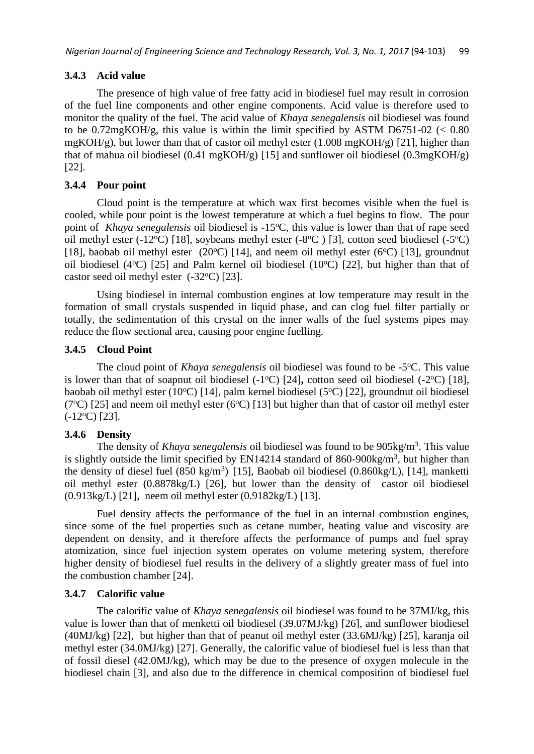# **3.4.3 Acid value**

The presence of high value of free fatty acid in biodiesel fuel may result in corrosion of the fuel line components and other engine components. Acid value is therefore used to monitor the quality of the fuel. The acid value of *Khaya senegalensis* oil biodiesel was found to be  $0.72 \text{mgKOH/g}$ , this value is within the limit specified by ASTM D6751-02 (< 0.80)  $mgKOH/g$ ), but lower than that of castor oil methyl ester (1.008 mgKOH/g) [21], higher than that of mahua oil biodiesel (0.41 mgKOH/g) [15] and sunflower oil biodiesel (0.3mgKOH/g) [22].

# **3.4.4 Pour point**

Cloud point is the temperature at which wax first becomes visible when the fuel is cooled, while pour point is the lowest temperature at which a fuel begins to flow. The pour point of *Khaya senegalensis* oil biodiesel is -15°C, this value is lower than that of rape seed oil methyl ester (-12°C) [18], soybeans methyl ester (-8°C) [3], cotton seed biodiesel (-5°C) [18], baobab oil methyl ester (20 $\degree$ C) [14], and neem oil methyl ester (6 $\degree$ C) [13], groundnut oil biodiesel (4 $\degree$ C) [25] and Palm kernel oil biodiesel (10 $\degree$ C) [22], but higher than that of castor seed oil methyl ester  $(-32^{\circ}C)$  [23].

Using biodiesel in internal combustion engines at low temperature may result in the formation of small crystals suspended in liquid phase, and can clog fuel filter partially or totally, the sedimentation of this crystal on the inner walls of the fuel systems pipes may reduce the flow sectional area, causing poor engine fuelling.

# **3.4.5 Cloud Point**

The cloud point of *Khaya senegalensis* oil biodiesel was found to be -5°C. This value is lower than that of soapnut oil biodiesel  $(-1^{\circ}C)$  [24], cotton seed oil biodiesel  $(-2^{\circ}C)$  [18], baobab oil methyl ester (10°C) [14], palm kernel biodiesel (5°C) [22], groundnut oil biodiesel (7<sup>o</sup>C) [25] and neem oil methyl ester (6<sup>o</sup>C) [13] but higher than that of castor oil methyl ester  $(-12$ <sup>o</sup>C) [23].

# **3.4.6 Density**

The density of *Khaya senegalensis* oil biodiesel was found to be 905kg/m<sup>3</sup>. This value is slightly outside the limit specified by EN14214 standard of  $860-900$ kg/m<sup>3</sup>, but higher than the density of diesel fuel  $(850 \text{ kg/m}^3)$  [15], Baobab oil biodiesel  $(0.860 \text{kg/L})$ , [14], manketti oil methyl ester (0.8878kg/L) [26], but lower than the density of castor oil biodiesel (0.913kg/L) [21], neem oil methyl ester (0.9182kg/L) [13].

Fuel density affects the performance of the fuel in an internal combustion engines, since some of the fuel properties such as cetane number, heating value and viscosity are dependent on density, and it therefore affects the performance of pumps and fuel spray atomization, since fuel injection system operates on volume metering system, therefore higher density of biodiesel fuel results in the delivery of a slightly greater mass of fuel into the combustion chamber [24].

### **3.4.7 Calorific value**

The calorific value of *Khaya senegalensis* oil biodiesel was found to be 37MJ/kg, this value is lower than that of menketti oil biodiesel (39.07MJ/kg) [26], and sunflower biodiesel (40MJ/kg) [22], but higher than that of peanut oil methyl ester (33.6MJ/kg) [25], karanja oil methyl ester (34.0MJ/kg) [27]. Generally, the calorific value of biodiesel fuel is less than that of fossil diesel (42.0MJ/kg), which may be due to the presence of oxygen molecule in the biodiesel chain [3], and also due to the difference in chemical composition of biodiesel fuel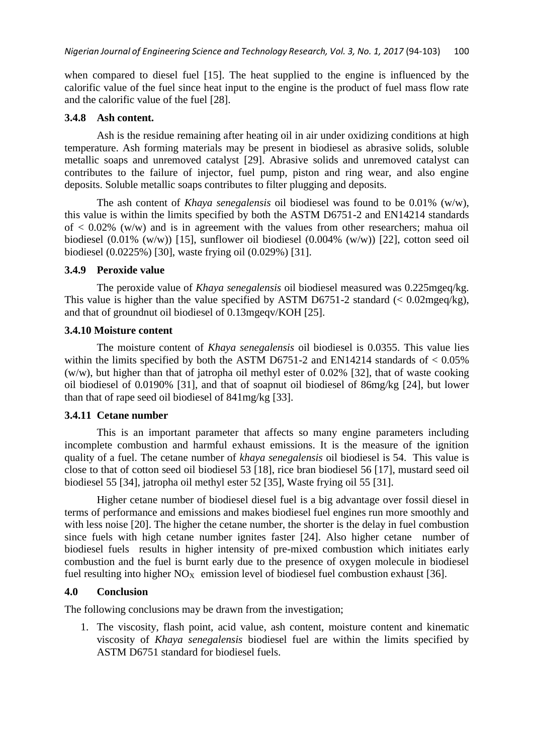when compared to diesel fuel [15]. The heat supplied to the engine is influenced by the calorific value of the fuel since heat input to the engine is the product of fuel mass flow rate and the calorific value of the fuel [28].

### **3.4.8 Ash content.**

Ash is the residue remaining after heating oil in air under oxidizing conditions at high temperature. Ash forming materials may be present in biodiesel as abrasive solids, soluble metallic soaps and unremoved catalyst [29]. Abrasive solids and unremoved catalyst can contributes to the failure of injector, fuel pump, piston and ring wear, and also engine deposits. Soluble metallic soaps contributes to filter plugging and deposits.

The ash content of *Khaya senegalensis* oil biodiesel was found to be 0.01% (w/w), this value is within the limits specified by both the ASTM D6751-2 and EN14214 standards of  $\langle 0.02\% \, (w/w)$  and is in agreement with the values from other researchers; mahua oil biodiesel (0.01% (w/w)) [15], sunflower oil biodiesel (0.004% (w/w)) [22], cotton seed oil biodiesel (0.0225%) [30], waste frying oil (0.029%) [31].

# **3.4.9 Peroxide value**

The peroxide value of *Khaya senegalensis* oil biodiesel measured was 0.225mgeq/kg. This value is higher than the value specified by ASTM D6751-2 standard  $\ll 0.02$  mg eq/kg), and that of groundnut oil biodiesel of 0.13mgeqv/KOH [25].

### **3.4.10 Moisture content**

The moisture content of *Khaya senegalensis* oil biodiesel is 0.0355. This value lies within the limits specified by both the ASTM D6751-2 and EN14214 standards of  $< 0.05\%$ (w/w), but higher than that of jatropha oil methyl ester of 0.02% [32], that of waste cooking oil biodiesel of 0.0190% [31], and that of soapnut oil biodiesel of 86mg/kg [24], but lower than that of rape seed oil biodiesel of 841mg/kg [33].

### **3.4.11 Cetane number**

This is an important parameter that affects so many engine parameters including incomplete combustion and harmful exhaust emissions. It is the measure of the ignition quality of a fuel. The cetane number of *khaya senegalensis* oil biodiesel is 54. This value is close to that of cotton seed oil biodiesel 53 [18], rice bran biodiesel 56 [17], mustard seed oil biodiesel 55 [34], jatropha oil methyl ester 52 [35], Waste frying oil 55 [31].

Higher cetane number of biodiesel diesel fuel is a big advantage over fossil diesel in terms of performance and emissions and makes biodiesel fuel engines run more smoothly and with less noise [20]. The higher the cetane number, the shorter is the delay in fuel combustion since fuels with high cetane number ignites faster [24]. Also higher cetane number of biodiesel fuels results in higher intensity of pre-mixed combustion which initiates early combustion and the fuel is burnt early due to the presence of oxygen molecule in biodiesel fuel resulting into higher  $NO<sub>X</sub>$  emission level of biodiesel fuel combustion exhaust [36].

### **4.0 Conclusion**

The following conclusions may be drawn from the investigation;

1. The viscosity, flash point, acid value, ash content, moisture content and kinematic viscosity of *Khaya senegalensis* biodiesel fuel are within the limits specified by ASTM D6751 standard for biodiesel fuels.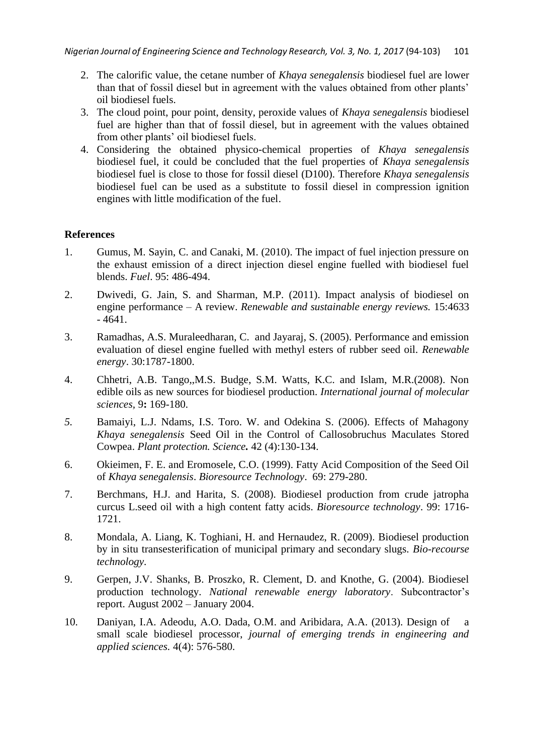- 2. The calorific value, the cetane number of *Khaya senegalensis* biodiesel fuel are lower than that of fossil diesel but in agreement with the values obtained from other plants' oil biodiesel fuels.
- 3. The cloud point, pour point, density, peroxide values of *Khaya senegalensis* biodiesel fuel are higher than that of fossil diesel, but in agreement with the values obtained from other plants' oil biodiesel fuels.
- 4. Considering the obtained physico-chemical properties of *Khaya senegalensis* biodiesel fuel, it could be concluded that the fuel properties of *Khaya senegalensis* biodiesel fuel is close to those for fossil diesel (D100). Therefore *Khaya senegalensis* biodiesel fuel can be used as a substitute to fossil diesel in compression ignition engines with little modification of the fuel.

# **References**

- 1. Gumus, M. Sayin, C. and Canaki, M. (2010). The impact of fuel injection pressure on the exhaust emission of a direct injection diesel engine fuelled with biodiesel fuel blends. *Fuel*. 95: 486-494.
- 2. Dwivedi, G. Jain, S. and Sharman, M.P. (2011). Impact analysis of biodiesel on engine performance – A review. *Renewable and sustainable energy reviews.* 15:4633 - 4641.
- 3. Ramadhas, A.S. Muraleedharan, C. and Jayaraj, S. (2005). Performance and emission evaluation of diesel engine fuelled with methyl esters of rubber seed oil. *Renewable energy*. 30:1787-1800.
- 4. Chhetri, A.B. Tango,,M.S. Budge, S.M. Watts, K.C. and Islam, M.R.(2008). Non edible oils as new sources for biodiesel production. *International journal of molecular sciences,* 9**:** 169-180.
- *5.* Bamaiyi, L.J. Ndams, I.S. Toro. W. and Odekina S. (2006). Effects of Mahagony *Khaya senegalensis* Seed Oil in the Control of Callosobruchus Maculates Stored Cowpea. *Plant protection. Science.* 42 (4):130-134.
- 6. Okieimen, F. E. and Eromosele, C.O. (1999). Fatty Acid Composition of the Seed Oil of *Khaya senegalensis*. *Bioresource Technology*. 69: 279-280.
- 7. Berchmans, H.J. and Harita, S. (2008). Biodiesel production from crude jatropha curcus L.seed oil with a high content fatty acids. *Bioresource technology*. 99: 1716- 1721.
- 8. Mondala, A. Liang, K. Toghiani, H. and Hernaudez, R. (2009). Biodiesel production by in situ transesterification of municipal primary and secondary slugs. *Bio-recourse technology.*
- 9. Gerpen, J.V. Shanks, B. Proszko, R. Clement, D. and Knothe, G. (2004). Biodiesel production technology. *National renewable energy laboratory*. Subcontractor's report. August 2002 – January 2004.
- 10. Daniyan, I.A. Adeodu, A.O. Dada, O.M. and Aribidara, A.A. (2013). Design of a small scale biodiesel processor, *journal of emerging trends in engineering and applied sciences.* 4(4): 576-580.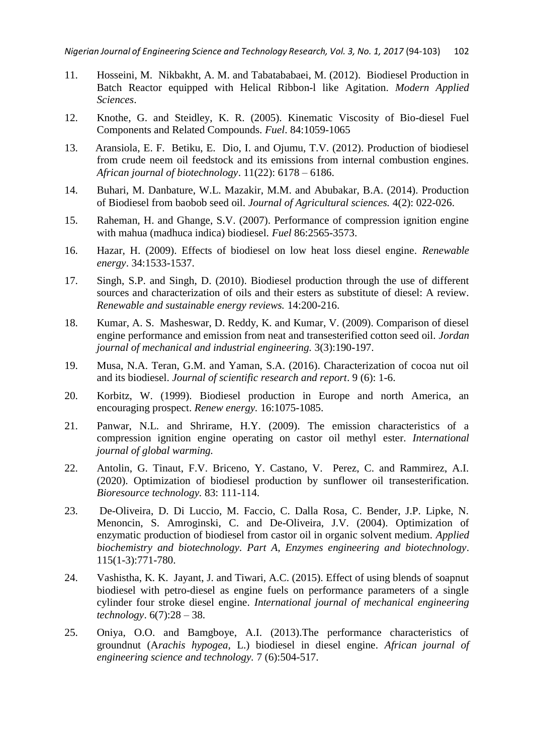- 11. Hosseini, M. Nikbakht, A. M. and Tabatababaei, M. (2012). Biodiesel Production in Batch Reactor equipped with Helical Ribbon-l like Agitation. *Modern Applied Sciences*.
- 12. Knothe, G. and Steidley, K. R. (2005). Kinematic Viscosity of Bio-diesel Fuel Components and Related Compounds. *Fuel*. 84:1059-1065
- 13. Aransiola, E. F. Betiku, E. Dio, I. and Ojumu, T.V. (2012). Production of biodiesel from crude neem oil feedstock and its emissions from internal combustion engines. *African journal of biotechnology*. 11(22): 6178 – 6186.
- 14. Buhari, M. Danbature, W.L. Mazakir, M.M. and Abubakar, B.A. (2014). Production of Biodiesel from baobob seed oil. *Journal of Agricultural sciences.* 4(2): 022-026.
- 15. Raheman, H. and Ghange, S.V. (2007). Performance of compression ignition engine with mahua (madhuca indica) biodiesel. *Fuel* 86:2565-3573.
- 16. Hazar, H. (2009). Effects of biodiesel on low heat loss diesel engine. *Renewable energy*. 34:1533-1537.
- 17. Singh, S.P. and Singh, D. (2010). Biodiesel production through the use of different sources and characterization of oils and their esters as substitute of diesel: A review. *Renewable and sustainable energy reviews.* 14:200-216.
- 18. Kumar, A. S. Masheswar, D. Reddy, K. and Kumar, V. (2009). Comparison of diesel engine performance and emission from neat and transesterified cotton seed oil. *Jordan journal of mechanical and industrial engineering.* 3(3):190-197.
- 19. Musa, N.A. Teran, G.M. and Yaman, S.A. (2016). Characterization of cocoa nut oil and its biodiesel. *Journal of scientific research and report*. 9 (6): 1-6.
- 20. Korbitz, W. (1999). Biodiesel production in Europe and north America, an encouraging prospect. *Renew energy.* 16:1075-1085.
- 21. Panwar, N.L. and Shrirame, H.Y. (2009). The emission characteristics of a compression ignition engine operating on castor oil methyl ester. *International journal of global warming.*
- 22. Antolin, G. Tinaut, F.V. Briceno, Y. Castano, V. Perez, C. and Rammirez, A.I. (2020). Optimization of biodiesel production by sunflower oil transesterification. *Bioresource technology.* 83: 111-114.
- 23. De-Oliveira, D. Di Luccio, M. Faccio, C. Dalla Rosa, C. Bender, J.P. Lipke, N. Menoncin, S. Amroginski, C. and De-Oliveira, J.V. (2004). Optimization of enzymatic production of biodiesel from castor oil in organic solvent medium. *Applied biochemistry and biotechnology. Part A, Enzymes engineering and biotechnology*. 115(1-3):771-780.
- 24. Vashistha, K. K. Jayant, J. and Tiwari, A.C. (2015). Effect of using blends of soapnut biodiesel with petro-diesel as engine fuels on performance parameters of a single cylinder four stroke diesel engine. *International journal of mechanical engineering technology*. 6(7):28 – 38.
- 25. Oniya, O.O. and Bamgboye, A.I. (2013).The performance characteristics of groundnut (A*rachis hypogea,* L.) biodiesel in diesel engine. *African journal of engineering science and technology.* 7 (6):504-517.